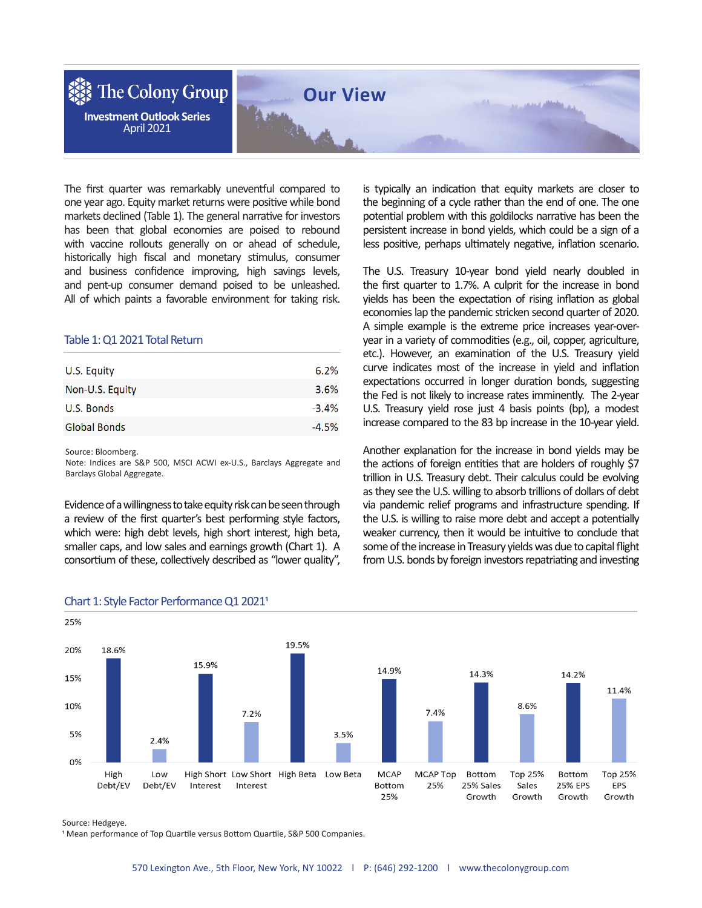

The first quarter was remarkably uneventful compared to one year ago. Equity market returns were positive while bond markets declined (Table 1). The general narrative for investors has been that global economies are poised to rebound with vaccine rollouts generally on or ahead of schedule, historically high fiscal and monetary stimulus, consumer and business confidence improving, high savings levels, and pent-up consumer demand poised to be unleashed. All of which paints a favorable environment for taking risk.

## Table 1: Q1 2021 Total Return

| U.S. Equity         | 6.2%    |
|---------------------|---------|
| Non-U.S. Equity     | 3.6%    |
| U.S. Bonds          | $-3.4%$ |
| <b>Global Bonds</b> | $-4.5%$ |

Source: Bloomberg.

Note: Indices are S&P 500, MSCI ACWI ex-U.S., Barclays Aggregate and Barclays Global Aggregate.

Evidence of a willingness to take equity risk can be seen through a review of the first quarter's best performing style factors, which were: high debt levels, high short interest, high beta, smaller caps, and low sales and earnings growth (Chart 1). A consortium of these, collectively described as "lower quality", is typically an indication that equity markets are closer to the beginning of a cycle rather than the end of one. The one potential problem with this goldilocks narrative has been the persistent increase in bond yields, which could be a sign of a less positive, perhaps ultimately negative, inflation scenario.

The U.S. Treasury 10-year bond yield nearly doubled in the first quarter to 1.7%. A culprit for the increase in bond yields has been the expectation of rising inflation as global economies lap the pandemic stricken second quarter of 2020. A simple example is the extreme price increases year-overyear in a variety of commodities (e.g., oil, copper, agriculture, etc.). However, an examination of the U.S. Treasury yield curve indicates most of the increase in yield and inflation expectations occurred in longer duration bonds, suggesting the Fed is not likely to increase rates imminently. The 2-year U.S. Treasury yield rose just 4 basis points (bp), a modest increase compared to the 83 bp increase in the 10-year yield.

Another explanation for the increase in bond yields may be the actions of foreign entities that are holders of roughly \$7 trillion in U.S. Treasury debt. Their calculus could be evolving as they see the U.S. willing to absorb trillions of dollars of debt via pandemic relief programs and infrastructure spending. If the U.S. is willing to raise more debt and accept a potentially weaker currency, then it would be intuitive to conclude that some of the increase in Treasury yields was due to capital flight from U.S. bonds by foreign investors repatriating and investing



## Chart 1: Style Factor Performance Q1 2021<sup>1</sup>

Source: Hedgeye.

<sup>1</sup> Mean performance of Top Quartile versus Bottom Quartile, S&P 500 Companies.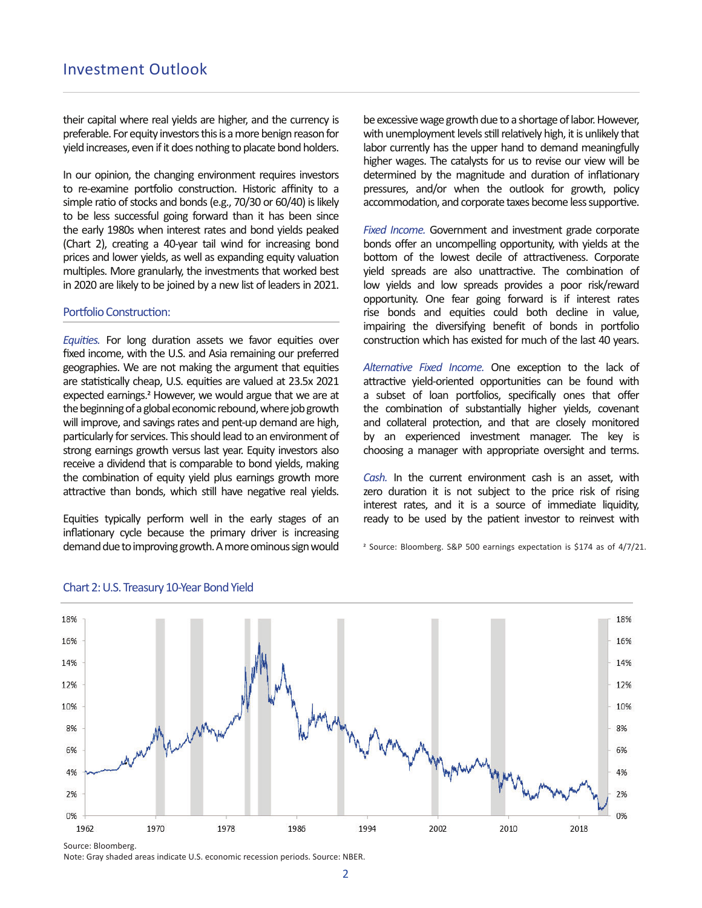their capital where real yields are higher, and the currency is preferable. For equity investors this is a more benign reason for yield increases, even if it does nothing to placate bond holders.

In our opinion, the changing environment requires investors to re-examine portfolio construction. Historic affinity to a simple ratio of stocks and bonds (e.g., 70/30 or 60/40) is likely to be less successful going forward than it has been since the early 1980s when interest rates and bond yields peaked (Chart 2), creating a 40-year tail wind for increasing bond prices and lower yields, as well as expanding equity valuation multiples. More granularly, the investments that worked best in 2020 are likely to be joined by a new list of leaders in 2021.

## Portfolio Construction:

Equities. For long duration assets we favor equities over fixed income, with the U.S. and Asia remaining our preferred geographies. We are not making the argument that equities are statistically cheap, U.S. equities are valued at 23.5x 2021 expected earnings.<sup>2</sup> However, we would argue that we are at the beginning of a global economic rebound, where job growth will improve, and savings rates and pent-up demand are high, particularly for services. This should lead to an environment of strong earnings growth versus last year. Equity investors also receive a dividend that is comparable to bond yields, making the combination of equity yield plus earnings growth more attractive than bonds, which still have negative real yields.

Equities typically perform well in the early stages of an inflationary cycle because the primary driver is increasing demand due to improving growth. A more ominous sign would

be excessive wage growth due to a shortage of labor. However, with unemployment levels still relatively high, it is unlikely that labor currently has the upper hand to demand meaningfully higher wages. The catalysts for us to revise our view will be determined by the magnitude and duration of inflationary pressures, and/or when the outlook for growth, policy accommodation, and corporate taxes become less supportive.

*Fixed Income.* Government and investment grade corporate bonds offer an uncompelling opportunity, with yields at the bottom of the lowest decile of attractiveness. Corporate yield spreads are also unattractive. The combination of low yields and low spreads provides a poor risk/reward opportunity. One fear going forward is if interest rates rise bonds and equities could both decline in value, impairing the diversifying benefit of bonds in portfolio construction which has existed for much of the last 40 years.

Alternative Fixed Income. One exception to the lack of attractive yield-oriented opportunities can be found with a subset of loan portfolios, specifically ones that offer the combination of substantially higher yields, covenant and collateral protection, and that are closely monitored by an experienced investment manager. The key is choosing a manager with appropriate oversight and terms.

*Cash.* In the current environment cash is an asset, with zero duration it is not subject to the price risk of rising interest rates, and it is a source of immediate liquidity, ready to be used by the patient investor to reinvest with

<sup>2</sup> Source: Bloomberg. S&P 500 earnings expectation is \$174 as of 4/7/21.



#### Chart 2: U.S. Treasury 10-Year Bond Yield

Source: Bloomberg.

Note: Gray shaded areas indicate U.S. economic recession periods. Source: NBER.